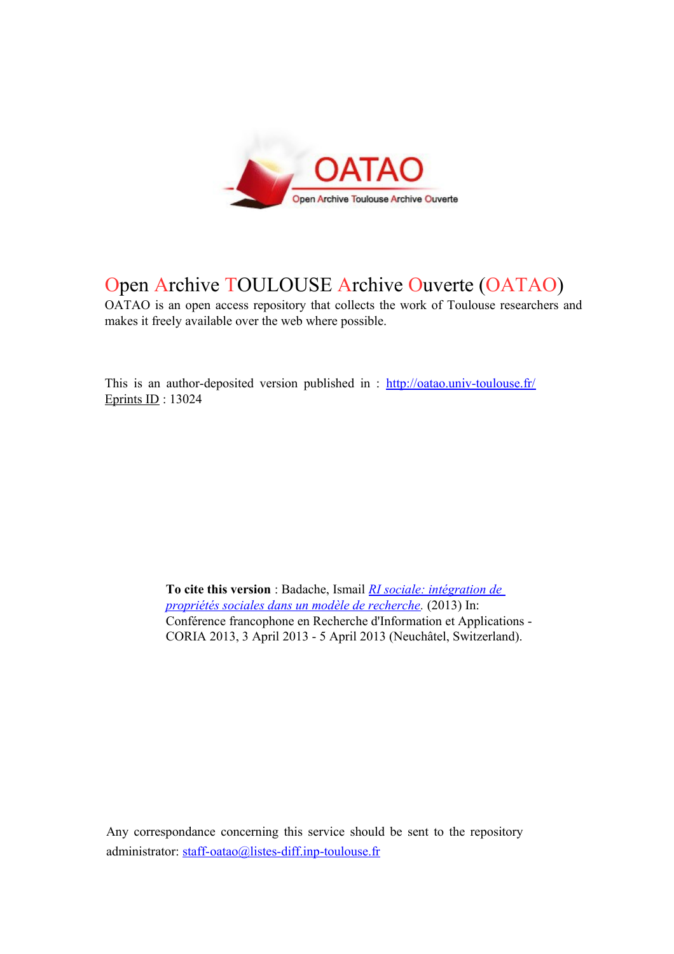

# Open Archive TOULOUSE Archive Ouverte (OATAO)

OATAO is an open access repository that collects the work of Toulouse researchers and makes it freely available over the web where possible.

This is an author-deposited version published in :<http://oatao.univ-toulouse.fr/> Eprints ID : 13024

> **To cite this version** : Badache, Ismail *[RI sociale: intégration de](http://oatao.univ-toulouse.fr/13024/)  [propriétés sociales dans un modèle de recherche.](http://oatao.univ-toulouse.fr/13024/)* (2013) In: Conférence francophone en Recherche d'Information et Applications - CORIA 2013, 3 April 2013 - 5 April 2013 (Neuchâtel, Switzerland).

Any correspondance concerning this service should be sent to the repository administrator: [staff-oatao@listes-diff.inp-toulouse.fr](mailto:staff-oatao@listes-diff.inp-toulouse.fr)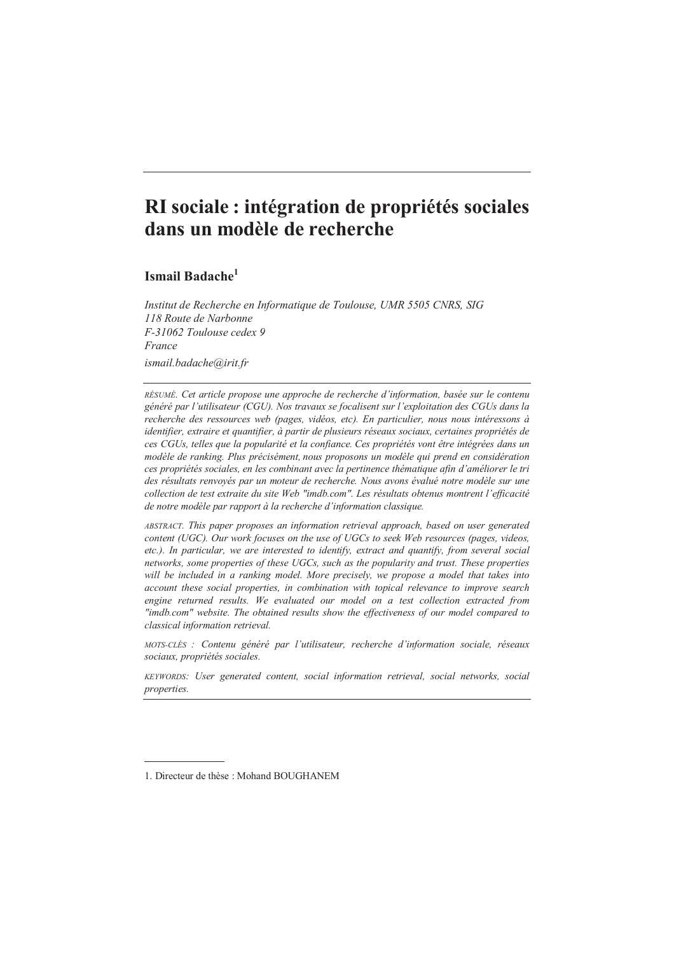## RI sociale : intégration de propriétés sociales dans un modèle de recherche

### Ismail Badache<sup>1</sup>

Institut de Recherche en Informatique de Toulouse, UMR 5505 CNRS, SIG 118 Route de Narbonne F-31062 Toulouse cedex 9 **Erance** ismail.badache@irit.fr

RÉSUMÉ. Cet article propose une approche de recherche d'information, basée sur le contenu généré par l'utilisateur (CGU). Nos travaux se focalisent sur l'exploitation des CGUs dans la recherche des ressources web (pages, vidéos, etc). En particulier, nous nous intéressons à identifier, extraire et quantifier, à partir de plusieurs réseaux sociaux, certaines propriétés de ces CGUs, telles que la popularité et la confiance. Ces propriétés vont être intégrées dans un modèle de ranking. Plus précisément, nous proposons un modèle qui prend en considération ces propriétés sociales, en les combinant avec la pertinence thématique afin d'améliorer le tri des résultats renvoyés par un moteur de recherche. Nous avons évalué notre modèle sur une collection de test extraite du site Web "imdb.com". Les résultats obtenus montrent l'efficacité de notre modèle par rapport à la recherche d'information classique.

ABSTRACT. This paper proposes an information retrieval approach, based on user generated content (UGC). Our work focuses on the use of UGCs to seek Web resources (pages, videos, etc.). In particular, we are interested to identify, extract and quantify, from several social networks, some properties of these UGCs, such as the popularity and trust. These properties will be included in a ranking model. More precisely, we propose a model that takes into account these social properties, in combination with topical relevance to improve search engine returned results. We evaluated our model on a test collection extracted from "imdb.com" website. The obtained results show the effectiveness of our model compared to classical information retrieval.

MOTS-CLÉS : Contenu généré par l'utilisateur, recherche d'information sociale, réseaux sociaux, propriétés sociales.

KEYWORDS: User generated content, social information retrieval, social networks, social properties.

<sup>1.</sup> Directeur de thèse : Mohand BOUGHANEM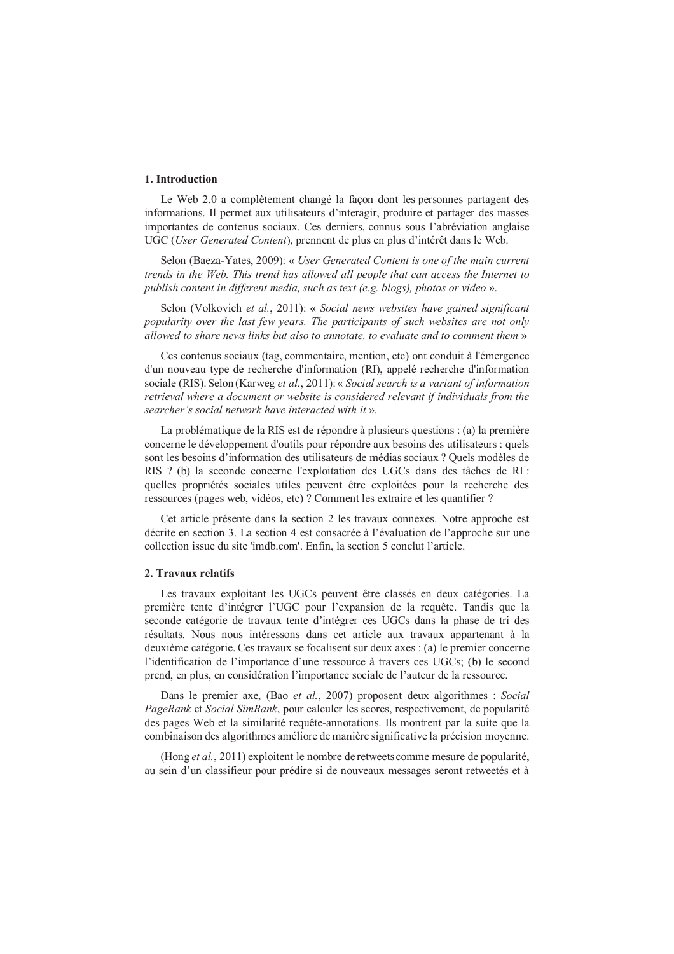#### 1. Introduction

Le Web 2.0 a complètement changé la façon dont les personnes partagent des informations. Il permet aux utilisateurs d'interagir, produire et partager des masses importantes de contenus sociaux. Ces derniers, connus sous l'abréviation anglaise UGC (User Generated Content), prennent de plus en plus d'intérêt dans le Web.

Selon (Baeza-Yates, 2009): « User Generated Content is one of the main current trends in the Web. This trend has allowed all people that can access the Internet to publish content in different media, such as text (e.g. blogs), photos or video ».

Selon (Volkovich et al., 2011): « Social news websites have gained significant popularity over the last few years. The participants of such websites are not only allowed to share news links but also to annotate, to evaluate and to comment them »

Ces contenus sociaux (tag. commentaire, mention, etc) ont conduit à l'émergence d'un nouveau type de recherche d'information (RI), appelé recherche d'information sociale (RIS). Selon (Karweg et al., 2011): « Social search is a variant of information retrieval where a document or website is considered relevant if individuals from the searcher's social network have interacted with it ».

La problématique de la RIS est de répondre à plusieurs questions : (a) la première concerne le développement d'outils pour répondre aux besoins des utilisateurs : quels sont les besoins d'information des utilisateurs de médias sociaux ? Quels modèles de RIS ? (b) la seconde concerne l'exploitation des UGCs dans des tâches de RI : quelles propriétés sociales utiles peuvent être exploitées pour la recherche des ressources (pages web, vidéos, etc) ? Comment les extraire et les quantifier ?

Cet article présente dans la section 2 les travaux connexes. Notre approche est décrite en section 3. La section 4 est consacrée à l'évaluation de l'approche sur une collection issue du site 'imdb.com'. Enfin, la section 5 conclut l'article.

#### 2. Travaux relatifs

Les travaux exploitant les UGCs peuvent être classés en deux catégories. La première tente d'intégrer l'UGC pour l'expansion de la requête. Tandis que la seconde catégorie de travaux tente d'intégrer ces UGCs dans la phase de tri des résultats. Nous nous intéressons dans cet article aux travaux appartenant à la deuxième catégorie. Ces travaux se focalisent sur deux axes : (a) le premier concerne l'identification de l'importance d'une ressource à travers ces UGCs; (b) le second prend, en plus, en considération l'importance sociale de l'auteur de la ressource.

Dans le premier axe, (Bao et al., 2007) proposent deux algorithmes : Social *PageRank* et *Social SimRank*, pour calculer les scores, respectivement, de popularité des pages Web et la similarité requête-annotations. Ils montrent par la suite que la combinaison des algorithmes améliore de manière significative la précision moyenne.

(Hong et al., 2011) exploitent le nombre de retweets comme mesure de popularité, au sein d'un classifieur pour prédire si de nouveaux messages seront retweetés et à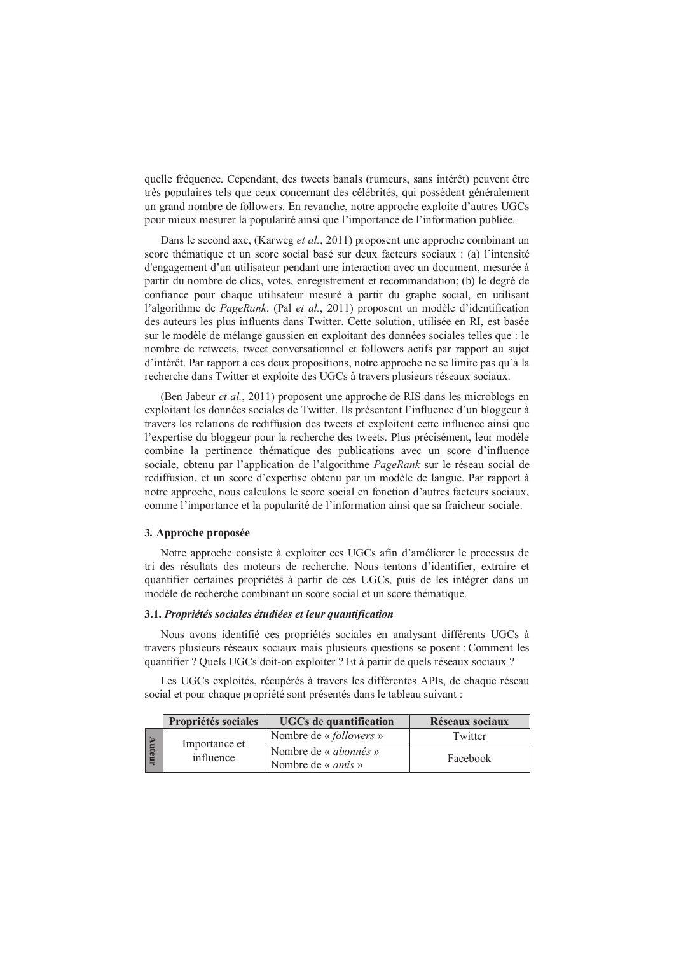quelle fréquence. Cependant, des tweets banals (rumeurs, sans intérêt) peuvent être très populaires tels que ceux concernant des célébrités, qui possèdent généralement un grand nombre de followers. En revanche, notre approche exploite d'autres UGCs pour mieux mesurer la popularité ainsi que l'importance de l'information publiée.

Dans le second axe, (Karweg et al., 2011) proposent une approche combinant un score thématique et un score social basé sur deux facteurs sociaux : (a) l'intensité d'engagement d'un utilisateur pendant une interaction avec un document, mesurée à partir du nombre de clics, votes, enregistrement et recommandation; (b) le degré de confiance pour chaque utilisateur mesuré à partir du graphe social, en utilisant l'algorithme de *PageRank*. (Pal et al., 2011) proposent un modèle d'identification des auteurs les plus influents dans Twitter. Cette solution, utilisée en RI, est basée sur le modèle de mélange gaussien en exploitant des données sociales telles que : le nombre de retweets, tweet conversationnel et followers actifs par rapport au sujet d'intérêt. Par rapport à ces deux propositions, notre approche ne se limite pas qu'à la recherche dans Twitter et exploite des UGCs à travers plusieurs réseaux sociaux.

(Ben Jabeur et al., 2011) proposent une approche de RIS dans les microblogs en exploitant les données sociales de Twitter. Ils présentent l'influence d'un bloggeur à travers les relations de rediffusion des tweets et exploitent cette influence ainsi que l'expertise du bloggeur pour la recherche des tweets. Plus précisément, leur modèle combine la pertinence thématique des publications avec un score d'influence sociale, obtenu par l'application de l'algorithme PageRank sur le réseau social de rediffusion, et un score d'expertise obtenu par un modèle de langue. Par rapport à notre approche, nous calculons le score social en fonction d'autres facteurs sociaux, comme l'importance et la popularité de l'information ainsi que sa fraicheur sociale.

#### 3. Approche proposée

Notre approche consiste à exploiter ces UGCs afin d'améliorer le processus de tri des résultats des moteurs de recherche. Nous tentons d'identifier, extraire et quantifier certaines propriétés à partir de ces UGCs, puis de les intégrer dans un modèle de recherche combinant un score social et un score thématique.

#### 3.1. Propriétés sociales étudiées et leur quantification

Nous avons identifié ces propriétés sociales en analysant différents UGCs à travers plusieurs réseaux sociaux mais plusieurs questions se posent : Comment les quantifier ? Quels UGCs doit-on exploiter ? Et à partir de quels réseaux sociaux ?

Les UGCs exploités, récupérés à travers les différentes APIs, de chaque réseau social et pour chaque propriété sont présentés dans le tableau suivant :

|  |          | Propriétés sociales        | <b>UGCs</b> de quantification                             | Réseaux sociaux |
|--|----------|----------------------------|-----------------------------------------------------------|-----------------|
|  | mte<br>Ę | Importance et<br>influence | Nombre de « <i>followers</i> »                            | Twitter         |
|  |          |                            | Nombre de « <i>abonnés</i> »<br>Nombre de « <i>amis</i> » | Facebook        |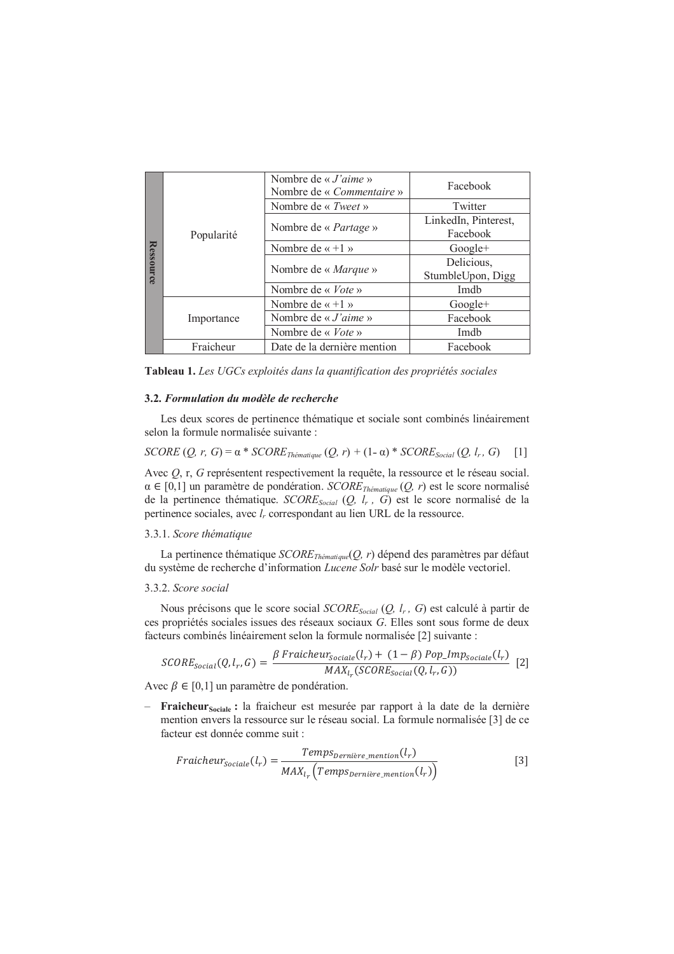|                  | Popularité | Nombre de « $J'$ aime »<br>Nombre de « <i>Commentaire</i> » | Facebook                         |  |
|------------------|------------|-------------------------------------------------------------|----------------------------------|--|
|                  |            | Nombre de « Tweet »                                         | Twitter                          |  |
|                  |            | Nombre de « <i>Partage</i> »                                | LinkedIn, Pinterest,<br>Facebook |  |
|                  |            | Nombre de « $+1$ »                                          | $Google+$                        |  |
| <b>Ressource</b> |            | Nombre de « Marque »                                        | Delicious,<br>StumbleUpon, Digg  |  |
|                  |            | Nombre de « $Vote$ »                                        | Imdh                             |  |
|                  | Importance | Nombre de « $+1$ »                                          | $Google+$                        |  |
|                  |            | Nombre de « $J'$ aime »                                     | Facebook                         |  |
|                  |            | Nombre de « <i>Vote</i> »                                   | Imdb                             |  |
|                  | Fraicheur  | Date de la dernière mention                                 | Facebook                         |  |

Tableau 1. Les UGCs exploités dans la quantification des propriétés sociales

#### 3.2. Formulation du modèle de recherche

Les deux scores de pertinence thématique et sociale sont combinés linéairement selon la formule normalisée suivante :

$$
SCORE (Q, r, G) = \alpha * SCOREThématique (Q, r) + (1 - \alpha) * SCORESocial (Q, lr, G)
$$
 [1]

Avec  $Q$ , r, G représentent respectivement la requête, la ressource et le réseau social.  $\alpha \in [0,1]$  un paramètre de pondération. SCORE<sub>Thématique</sub>  $(Q, r)$  est le score normalisé de la pertinence thématique. SCORE<sub>Social</sub> (Q, l<sub>r</sub>, G) est le score normalisé de la pertinence sociales, avec l<sub>r</sub> correspondant au lien URL de la ressource.

#### 3.3.1. Score thématique

La pertinence thématique  $SCORE_{Thématique}(Q, r)$  dépend des paramètres par défaut du système de recherche d'information Lucene Solr basé sur le modèle vectoriel.

#### 3.3.2. Score social

Nous précisons que le score social  $SCORE_{Social}(Q, l_r, G)$  est calculé à partir de ces propriétés sociales issues des réseaux sociaux G. Elles sont sous forme de deux facteurs combinés linéairement selon la formule normalisée [2] suivante :

$$
SCORE_{social}(Q, l_r, G) = \frac{\beta \text{ Frainheur}_{social}(l_r) + (1 - \beta) \text{Pop\_Imp}_{Social}(l_r)}{\text{MAX}_{l_r}(SCORE_{Social}(Q, l_r, G))}
$$
 [2]

Avec  $\beta \in [0,1]$  un paramètre de pondération.

- Fraicheur<sub>Sociale</sub> : la fraicheur est mesurée par rapport à la date de la dernière mention envers la ressource sur le réseau social. La formule normalisée [3] de ce facteur est donnée comme suit :

$$
Fraincheur_{sociale}(l_r) = \frac{Temps_{Dernière\_mentation}(l_r)}{MAX_{l_r}(Temps_{Dernière\_mentation}(l_r))}
$$
\n<sup>(3)</sup>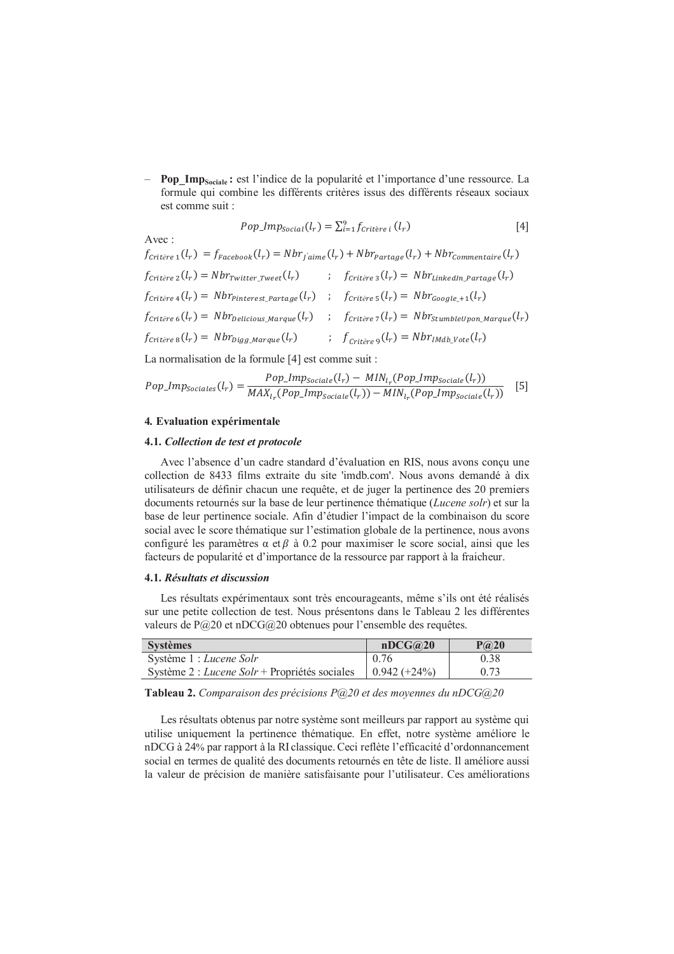Pop\_Imp<sub>Sociale</sub>: est l'indice de la popularité et l'importance d'une ressource. La formule qui combine les différents critères issus des différents réseaux sociaux est comme suit :

$$
Pop\_Imp_{Social}(l_r) = \sum_{i=1}^{9} f_{critère\ i}(l_r)
$$
 [4]

Avec:

 $f_{\text{Critère 1}}(l_r) = f_{\text{Facebook}}(l_r) = Nbr_{\text{I'aime}}(l_r) + Nbr_{\text{Partage}}(l_r) + Nbr_{\text{Commentaire}}(l_r)$  $f_{\text{critère 3}}(l_r) = \text{Nbr}_{\text{LinkedIn Partage}}(l_r)$  $f_{\text{Critère 2}}(l_r) = \text{Nbr}_{\text{Twitter Tree}}(l_r)$  $f_{\text{critère 4}}(l_r) = \text{Nbr}_{\text{Pinterest Partage}}(l_r)$  ;  $f_{\text{critère 5}}(l_r) = \text{Nbr}_{\text{Google }+1}(l_r)$  $f_{\text{Critère 6}}(l_r) = Nbr_{\text{pelicious Marque}}(l_r)$  ;  $f_{\text{Critère 7}}(l_r) = Nbr_{\text{Stumblellnon Marque}}(l_r)$  $f_{\text{critère 8}}(l_r) = Nbr_{\text{Digg\_Marque}}(l_r)$  ;  $f_{\text{critère 9}}(l_r) = Nbr_{\text{Indb\_Vote}}(l_r)$ 

La normalisation de la formule [4] est comme suit :

$$
Pop\_Imp_{sociales}(l_r) = \frac{Pop\_Imp_{sociale}(l_r) - MIN_{l_r}(Pop\_Imp_{sociale}(l_r))}{MAX_{l_r}(Pop\_Imp_{sociale}(l_r)) - MIN_{l_r}(Pop\_Imp_{sociale}(l_r))}
$$
 [5]

#### 4. Evaluation expérimentale

#### 4.1. Collection de test et protocole

Avec l'absence d'un cadre standard d'évaluation en RIS, nous avons conçu une collection de 8433 films extraite du site 'imdb.com'. Nous avons demandé à dix utilisateurs de définir chacun une requête, et de juger la pertinence des 20 premiers documents retournés sur la base de leur pertinence thématique (Lucene solr) et sur la base de leur pertinence sociale. Afin d'étudier l'impact de la combinaison du score social avec le score thématique sur l'estimation globale de la pertinence, nous avons configuré les paramètres  $\alpha$  et  $\beta$  à 0.2 pour maximiser le score social, ainsi que les facteurs de popularité et d'importance de la ressource par rapport à la fraicheur.

#### 4.1. Résultats et discussion

Les résultats expérimentaux sont très encourageants, même s'ils ont été réalisés sur une petite collection de test. Nous présentons dans le Tableau 2 les différentes valeurs de  $P(20)$  et nDCG $(20)$  obtenues pour l'ensemble des requêtes.

| <b>Systèmes</b>                               | nDCG@20        | P@20 |
|-----------------------------------------------|----------------|------|
| Système 1 : Lucene Solr                       | 0.76           | 0.38 |
| Système 2 : Lucene Solr + Propriétés sociales | $0.942 (+24%)$ | 0.73 |

Tableau 2. Comparaison des précisions  $P@20$  et des moyennes du nDCG@20

Les résultats obtenus par notre système sont meilleurs par rapport au système qui utilise uniquement la pertinence thématique. En effet, notre système améliore le nDCG à 24% par rapport à la RI classique. Ceci reflète l'efficacité d'ordonnancement social en termes de qualité des documents retournés en tête de liste. Il améliore aussi la valeur de précision de manière satisfaisante pour l'utilisateur. Ces améliorations